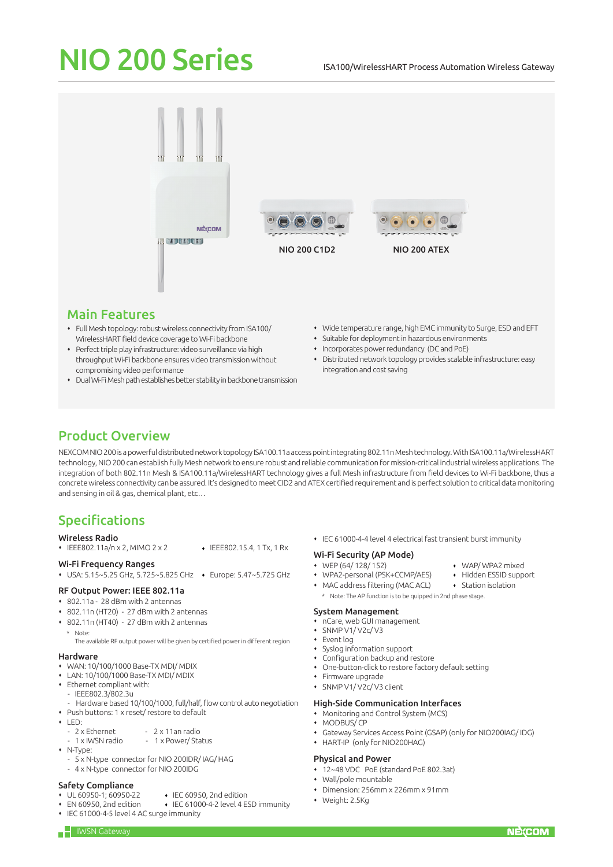# NIO 200 Series ISA100/WirelessHART Process Automation Wireless Gateway



## Main Features

- Full Mesh topology: robust wireless connectivity from ISA100/ WirelessHART field device coverage to Wi-Fi backbone
- Perfect triple play infrastructure: video surveillance via high throughput Wi-Fi backbone ensures video transmission without compromising video performance
- Dual Wi-Fi Mesh path establishes better stability in backbone transmission
- Wide temperature range, high EMC immunity to Surge, ESD and EFT
- Suitable for deployment in hazardous environments
- Incorporates power redundancy (DC and PoE)
- Distributed network topology provides scalable infrastructure: easy integration and cost saving

## Product Overview

NEXCOM NIO 200 is a powerful distributed network topology ISA100.11a access point integrating 802.11n Mesh technology. With ISA100.11a/WirelessHART technology, NIO 200 can establish fully Mesh network to ensure robust and reliable communication for mission-critical industrial wireless applications. The integration of both 802.11n Mesh & ISA100.11a/WirelessHART technology gives a full Mesh infrastructure from field devices to Wi-Fi backbone, thus a concrete wireless connectivity can be assured. It's designed to meet CID2 and ATEX certified requirement and is perfect solution to critical data monitoring and sensing in oil & gas, chemical plant, etc…

## Specifications

## Wireless Radio

- $\cdot$  IEEE802.11a/n x 2, MIMO 2 x 2  $\cdot$  IEEE802.15.4, 1 Tx, 1 Rx
	-

#### Wi-Fi Frequency Ranges USA: 5.15~5.25 GHz, 5.725~5.825 GHz Europe: 5.47~5.725 GHz

## RF Output Power: IEEE 802.11a

- 802.11a 28 dBm with 2 antennas
- 802.11n (HT20) 27 dBm with 2 antennas
- 802.11n (HT40) 27 dBm with 2 antennas
	- Note

## Hardware

- WAN: 10/100/1000 Base-TX MDI/ MDIX
- LAN: 10/100/1000 Base-TX MDI/ MDIX
- Ethernet compliant with:
- IEEE802.3/802.3u
- Hardware based 10/100/1000, full/half, flow control auto negotiation

The available RF output power will be given by certified power in different region

- Push buttons: 1 x reset/ restore to default
- $+$  LED:
	- 2 x Ethernet 2 x 11an radio<br>- 1 x IWSN radio 1 x Power/ Sta
- 1 x Power/ Status
- N-Type:
	- 5 x N-type connector for NIO 200IDR/ IAG/ HAG
	- 4 x N-type connector for NIO 200IDG

## **Safety Compliance**<br>• UL 60950-1; 60950-22

- 
- UL 60950-1; 60950-22  $\leftrightarrow$  IEC 60950, 2nd edition<br>EN 60950, 2nd edition  $\leftrightarrow$  IEC 61000-4-2 level 4 E ◆ IEC 61000-4-2 level 4 ESD immunity
	-
- IEC 61000-4-5 level 4 AC surge immunity

IEC 61000-4-4 level 4 electrical fast transient burst immunity

## Wi-Fi Security (AP Mode)

- WEP (64/128/152) WAP/WPA2 mixed<br>• WPA2-personal (PSK+CCMP/AES) Hidden ESSID support
- + WPA2-personal (PSK+CCMP/AES)
- MAC address filtering (MAC ACL) Station isolation
- Note: The AP function is to be quipped in 2nd phase stage

## System Management

- nCare, web GUI management
- SNMP V1/ V2c/ V3
- Event log
- Syslog information support
	- Configuration backup and restore
- One-button-click to restore factory default setting
- Firmware upgrade
- SNMP V1/ V2c/ V3 client

## High-Side Communication Interfaces

- Monitoring and Control System (MCS) • MODBUS/ CP
- Gateway Services Access Point (GSAP) (only for NIO200IAG/ IDG)
- HART-IP (only for NIO200HAG)

## Physical and Power

- 12~48 VDC PoE (standard PoE 802.3at)
- Wall/pole mountable
- Dimension: 256mm x 226mm x 91mm
- Weight: 2.5Kg
-